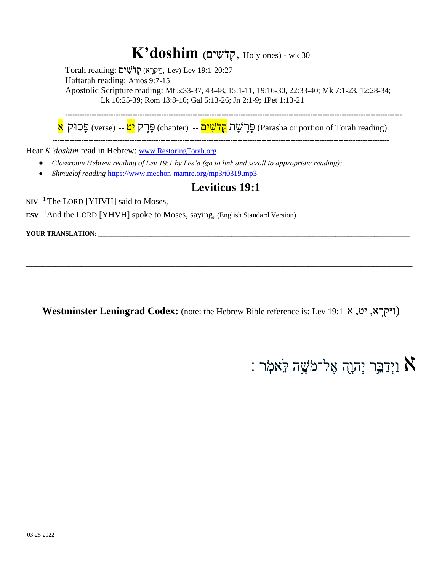### $K'$ doshim (קְלֹשִׁים<sup>, Holy ones) - wk 30</sup>

Torah reading: וַיִּקְרָא) קְדֹשִׁים (Lev 19:1-20:27 Haftarah reading: Amos 9:7-15 Apostolic Scripture reading: Mt 5:33-37, 43-48, 15:1-11, 19:16-30, 22:33-40; Mk 7:1-23, 12:28-34; Lk 10:25-39; Rom 13:8-10; Gal 5:13-26; Jn 2:1-9; 1Pet 1:13-21

ּפֶּרָיק <mark>יט</mark> -- (chapter) פֶּר<del>ָ שָׁ</del>ר (Parasha or portion of Torah reading) פֶּר

--------------------------------------------------------------------------------------------------------------------------------------------

--------------------------------------------------------------------------------------------------------------------------------------------

Hear *K'doshim* read in Hebrew: [www.RestoringTorah.org](http://www.restoringtorah.org/)

- *Classroom Hebrew reading of Lev 19:1 by Les'a (go to link and scroll to appropriate reading):*
- *Shmuelof reading* <https://www.mechon-mamre.org/mp3/t0319.mp3>

#### **Leviticus 19:1**

**NIV**  <sup>1</sup>The LORD [YHVH] said to Moses,

**ESV**  <sup>1</sup>And the LORD [YHVH] spoke to Moses, saying, (English Standard Version)

**YOUR TRANSLATION: \_\_\_\_\_\_\_\_\_\_\_\_\_\_\_\_\_\_\_\_\_\_\_\_\_\_\_\_\_\_\_\_\_\_\_\_\_\_\_\_\_\_\_\_\_\_\_\_\_\_\_\_\_\_\_\_\_\_\_\_\_\_\_\_\_\_\_\_\_\_\_\_\_\_\_\_\_\_\_\_\_\_\_\_\_\_\_\_\_\_\_\_\_\_\_\_**

**Westminster Leningrad Codex:** (note: the Hebrew Bible reference is: Lev 19:1א ,יט ,א ָּר ְקִּיַו(

**\_\_\_\_\_\_\_\_\_\_\_\_\_\_\_\_\_\_\_\_\_\_\_\_\_\_\_\_\_\_\_\_\_\_\_\_\_\_\_\_\_\_\_\_\_\_\_\_\_\_\_\_\_\_\_\_\_\_\_\_\_\_\_\_\_\_\_\_\_\_\_\_\_\_\_\_\_\_\_\_\_\_\_\_\_\_\_\_\_\_\_\_\_\_\_\_\_\_\_\_\_\_\_\_\_\_\_\_\_\_\_\_\_\_\_\_\_\_\_**

**\_\_\_\_\_\_\_\_\_\_\_\_\_\_\_\_\_\_\_\_\_\_\_\_\_\_\_\_\_\_\_\_\_\_\_\_\_\_\_\_\_\_\_\_\_\_\_\_\_\_\_\_\_\_\_\_\_\_\_\_\_\_\_\_\_\_\_\_\_\_\_\_\_\_\_\_\_\_\_\_\_\_\_\_\_\_\_\_\_\_\_\_\_\_\_\_\_\_\_\_\_\_\_\_\_\_\_\_\_\_\_\_\_\_\_\_\_\_\_**

## : וַיְדַבֵּר יְהוָה אֶל־מֹשֶׁה לֵּאמִֹ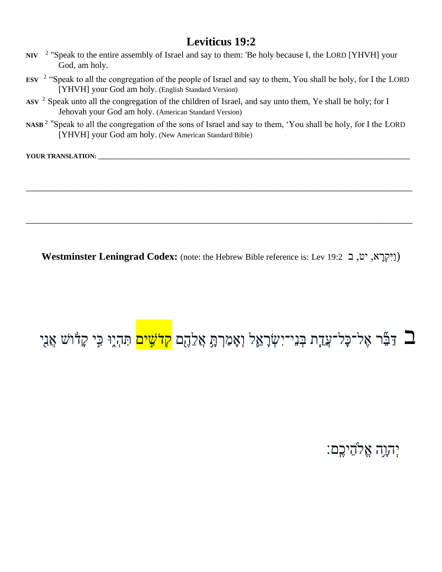- $NIV$ <sup>2</sup> "Speak to the entire assembly of Israel and say to them: 'Be holy because I, the LORD [YHVH] your God, am holy.
- **ESV**  2 "Speak to all the congregation of the people of Israel and say to them, You shall be holy, for I the LORD [YHVH] your God am holy. (English Standard Version)
- ASV <sup>2</sup> Speak unto all the congregation of the children of Israel, and say unto them, Ye shall be holy; for I Jehovah your God am holy. (American Standard Version)
- **NASB** <sup>2</sup> "Speak to all the congregation of the sons of Israel and say to them, 'You shall be holy, for I the LORD [YHVH] your God am holy. (New American Standard Bible)

**\_\_\_\_\_\_\_\_\_\_\_\_\_\_\_\_\_\_\_\_\_\_\_\_\_\_\_\_\_\_\_\_\_\_\_\_\_\_\_\_\_\_\_\_\_\_\_\_\_\_\_\_\_\_\_\_\_\_\_\_\_\_\_\_\_\_\_\_\_\_\_\_\_\_\_\_\_\_\_\_\_\_\_\_\_\_\_\_\_\_\_\_\_\_\_\_\_\_\_\_\_\_\_\_\_\_\_\_\_\_\_\_\_\_\_\_\_\_\_**

**\_\_\_\_\_\_\_\_\_\_\_\_\_\_\_\_\_\_\_\_\_\_\_\_\_\_\_\_\_\_\_\_\_\_\_\_\_\_\_\_\_\_\_\_\_\_\_\_\_\_\_\_\_\_\_\_\_\_\_\_\_\_\_\_\_\_\_\_\_\_\_\_\_\_\_\_\_\_\_\_\_\_\_\_\_\_\_\_\_\_\_\_\_\_\_\_\_\_\_\_\_\_\_\_\_\_\_\_\_\_\_\_\_\_\_\_\_\_\_**

YOUR TRANSLATION:

Westminster Leningrad Codex: (note: the Hebrew Bible reference is: Lev 19:2 <u>י</u>ט, ב 19:2 ([יִקְרָא, יט, ב

# ב דַּבֵּٗר אֶל־כָּל־עֲדָת בְּנֵי־יִשְׂרָאֵל וְאָמַרְתָּ אֲלֵהֶם <mark>קִדֹּשִׁים</mark> תִּהְלֶוּ כִִּי קָדֹוֹשׁ אֲנִי **ָ**

יְהוָּ ֵּ֥ה אֱֹלהֵּיכֶֹֽם׃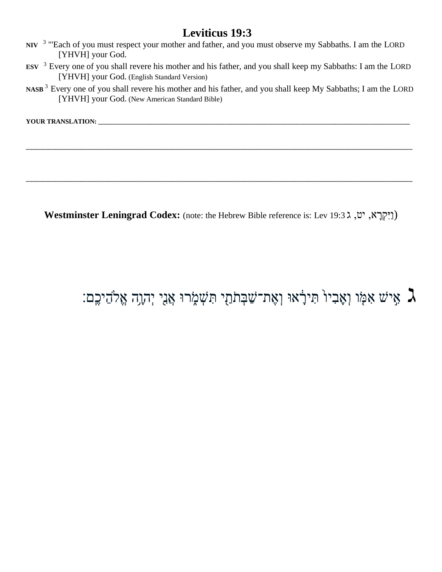- **NIV**  3 "'Each of you must respect your mother and father, and you must observe my Sabbaths. I am the LORD [YHVH] your God.
- **ESV**  <sup>3</sup> Every one of you shall revere his mother and his father, and you shall keep my Sabbaths: I am the LORD [YHVH] your God. (English Standard Version)
- **NASB** <sup>3</sup> Every one of you shall revere his mother and his father, and you shall keep My Sabbaths; I am the LORD [YHVH] your God. (New American Standard Bible)

**\_\_\_\_\_\_\_\_\_\_\_\_\_\_\_\_\_\_\_\_\_\_\_\_\_\_\_\_\_\_\_\_\_\_\_\_\_\_\_\_\_\_\_\_\_\_\_\_\_\_\_\_\_\_\_\_\_\_\_\_\_\_\_\_\_\_\_\_\_\_\_\_\_\_\_\_\_\_\_\_\_\_\_\_\_\_\_\_\_\_\_\_\_\_\_\_\_\_\_\_\_\_\_\_\_\_\_\_\_\_\_\_\_\_\_\_\_\_\_**

**\_\_\_\_\_\_\_\_\_\_\_\_\_\_\_\_\_\_\_\_\_\_\_\_\_\_\_\_\_\_\_\_\_\_\_\_\_\_\_\_\_\_\_\_\_\_\_\_\_\_\_\_\_\_\_\_\_\_\_\_\_\_\_\_\_\_\_\_\_\_\_\_\_\_\_\_\_\_\_\_\_\_\_\_\_\_\_\_\_\_\_\_\_\_\_\_\_\_\_\_\_\_\_\_\_\_\_\_\_\_\_\_\_\_\_\_\_\_\_**

**YOUR TRANSLATION: \_\_\_\_\_\_\_\_\_\_\_\_\_\_\_\_\_\_\_\_\_\_\_\_\_\_\_\_\_\_\_\_\_\_\_\_\_\_\_\_\_\_\_\_\_\_\_\_\_\_\_\_\_\_\_\_\_\_\_\_\_\_\_\_\_\_\_\_\_\_\_\_\_\_\_\_\_\_\_\_\_\_\_\_\_\_\_\_\_\_\_\_\_\_\_\_**

Westminster Leningrad Codex: (note: the Hebrew Bible reference is: Lev 19:3 ג, יט, ג 49:37

### אַמֹּו וְאָבִיוֹ תִּירָׂאוּ וְאֶת־שַׁבְּתֹתַי תִּשְׁמֶרוּ אֲנֵי יְהוֶה אֱלֹהֵיכֶם:  $\gimel$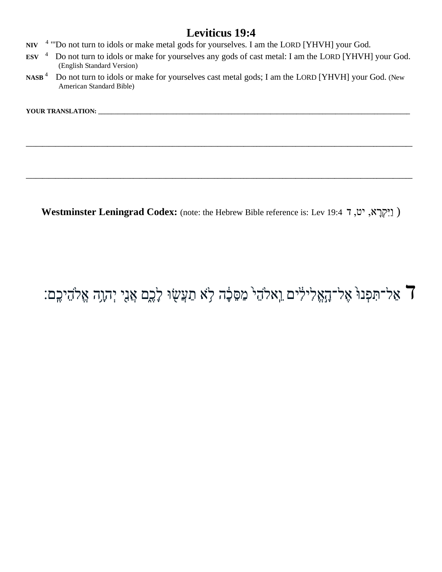- <sup>4</sup> "Do not turn to idols or make metal gods for yourselves. I am the LORD [YHVH] your God.  $NIV$
- Do not turn to idols or make for yourselves any gods of cast metal: I am the LORD [YHVH] your God.  $ESV$ <sup>4</sup> (English Standard Version)
- $NASB$ <sup>4</sup> Do not turn to idols or make for yourselves cast metal gods; I am the LORD [YHVH] your God. (New American Standard Bible)

YOUR TRANSLATION: \_\_\_\_

Westminster Leningrad Codex: (note: the Hebrew Bible reference is: Lev 19:4 "מ, יט, ד א

### F אַל־תִּפְנוּ אֶל־הָאֱלִילִים וֵאלֹהֵי מַסֵּכָָה לָא תַעֲשָׂוּ לָכֶם אֲנִי יְהָוֶה אֱלֹהֵיכֶם: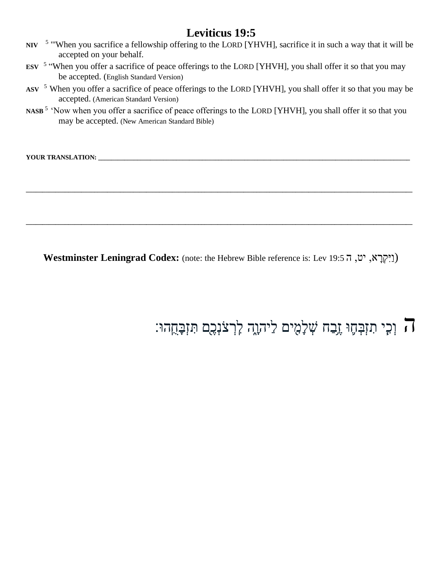- **NIV**  <sup>5</sup> "When you sacrifice a fellowship offering to the LORD [YHVH], sacrifice it in such a way that it will be accepted on your behalf.
- **ESV**  5 "When you offer a sacrifice of peace offerings to the LORD [YHVH], you shall offer it so that you may be accepted. (English Standard Version)
- ASV <sup>5</sup> When you offer a sacrifice of peace offerings to the LORD [YHVH], you shall offer it so that you may be accepted. (American Standard Version)
- **NASB** <sup>5</sup> 'Now when you offer a sacrifice of peace offerings to the LORD [YHVH], you shall offer it so that you may be accepted. (New American Standard Bible)

**YOUR TRANSLATION: \_\_\_\_\_\_\_\_\_\_\_\_\_\_\_\_\_\_\_\_\_\_\_\_\_\_\_\_\_\_\_\_\_\_\_\_\_\_\_\_\_\_\_\_\_\_\_\_\_\_\_\_\_\_\_\_\_\_\_\_\_\_\_\_\_\_\_\_\_\_\_\_\_\_\_\_\_\_\_\_\_\_\_\_\_\_\_\_\_\_\_\_\_\_\_\_**

Westminster Leningrad Codex: (note: the Hebrew Bible reference is: Lev 19:5 ה; יט, ה

**\_\_\_\_\_\_\_\_\_\_\_\_\_\_\_\_\_\_\_\_\_\_\_\_\_\_\_\_\_\_\_\_\_\_\_\_\_\_\_\_\_\_\_\_\_\_\_\_\_\_\_\_\_\_\_\_\_\_\_\_\_\_\_\_\_\_\_\_\_\_\_\_\_\_\_\_\_\_\_\_\_\_\_\_\_\_\_\_\_\_\_\_\_\_\_\_\_\_\_\_\_\_\_\_\_\_\_\_\_\_\_\_\_\_\_\_\_\_\_**

**\_\_\_\_\_\_\_\_\_\_\_\_\_\_\_\_\_\_\_\_\_\_\_\_\_\_\_\_\_\_\_\_\_\_\_\_\_\_\_\_\_\_\_\_\_\_\_\_\_\_\_\_\_\_\_\_\_\_\_\_\_\_\_\_\_\_\_\_\_\_\_\_\_\_\_\_\_\_\_\_\_\_\_\_\_\_\_\_\_\_\_\_\_\_\_\_\_\_\_\_\_\_\_\_\_\_\_\_\_\_\_\_\_\_\_\_\_\_\_**

ה וְכִּ ַ֧י תִּ זְבְ חֵ֛ ּו זֵֶּ֥בַח שְ לָּמִּ ָ֖ ים לַיהוָּ ֑ה לִֹּֽ רְ צֹנְכֶ ָ֖ם תִּ זְבָּח ֹֽהּו׃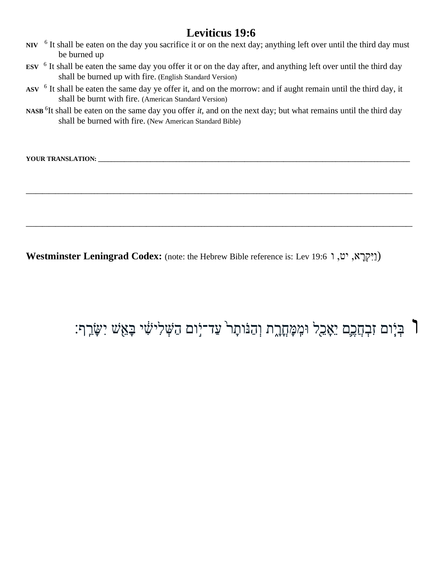- **NIV** <sup>6</sup> It shall be eaten on the day you sacrifice it or on the next day; anything left over until the third day must be burned up
- **ESV**  6 It shall be eaten the same day you offer it or on the day after, and anything left over until the third day shall be burned up with fire. (English Standard Version)
- ASV <sup>6</sup> It shall be eaten the same day ye offer it, and on the morrow: and if aught remain until the third day, it shall be burnt with fire. (American Standard Version)
- **NASB** <sup>6</sup> It shall be eaten on the same day you offer *it*, and on the next day; but what remains until the third day shall be burned with fire. (New American Standard Bible)

**\_\_\_\_\_\_\_\_\_\_\_\_\_\_\_\_\_\_\_\_\_\_\_\_\_\_\_\_\_\_\_\_\_\_\_\_\_\_\_\_\_\_\_\_\_\_\_\_\_\_\_\_\_\_\_\_\_\_\_\_\_\_\_\_\_\_\_\_\_\_\_\_\_\_\_\_\_\_\_\_\_\_\_\_\_\_\_\_\_\_\_\_\_\_\_\_\_\_\_\_\_\_\_\_\_\_\_\_\_\_\_\_\_\_\_\_\_\_\_**

**\_\_\_\_\_\_\_\_\_\_\_\_\_\_\_\_\_\_\_\_\_\_\_\_\_\_\_\_\_\_\_\_\_\_\_\_\_\_\_\_\_\_\_\_\_\_\_\_\_\_\_\_\_\_\_\_\_\_\_\_\_\_\_\_\_\_\_\_\_\_\_\_\_\_\_\_\_\_\_\_\_\_\_\_\_\_\_\_\_\_\_\_\_\_\_\_\_\_\_\_\_\_\_\_\_\_\_\_\_\_\_\_\_\_\_\_\_\_\_**

**YOUR TRANSLATION: \_\_\_\_\_\_\_\_\_\_\_\_\_\_\_\_\_\_\_\_\_\_\_\_\_\_\_\_\_\_\_\_\_\_\_\_\_\_\_\_\_\_\_\_\_\_\_\_\_\_\_\_\_\_\_\_\_\_\_\_\_\_\_\_\_\_\_\_\_\_\_\_\_\_\_\_\_\_\_\_\_\_\_\_\_\_\_\_\_\_\_\_\_\_\_\_**

**Westminster Leningrad Codex:** (note: the Hebrew Bible reference is: Lev 19:6ו ,יט ,א ָר ְקִׁיַו(

וֹ בְּיָ֫וּם זִבְהֲכֶם יֵאָבֵל וּמִמְּחֲרֶת וְהַנֹּותָר<sup>ְ</sup> עַד־יָׂוִם הַשְּׁלִיּשִׁי בָּאֵֽשׁ יִשָּׂרֵף: